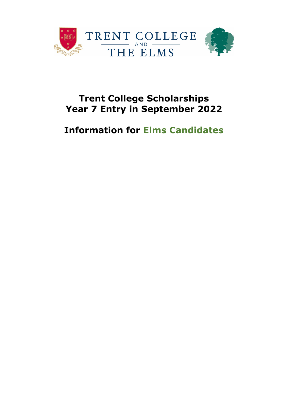

# **Trent College Scholarships Year 7 Entry in September 2022**

# **Information for Elms Candidates**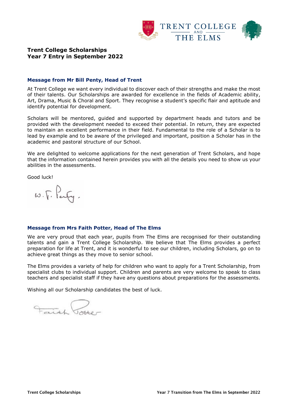

# **Trent College Scholarships Year 7 Entry in September 2022**

#### **Message from Mr Bill Penty, Head of Trent**

At Trent College we want every individual to discover each of their strengths and make the most of their talents. Our Scholarships are awarded for excellence in the fields of Academic ability, Art, Drama, Music & Choral and Sport. They recognise a student's specific flair and aptitude and identify potential for development.

Scholars will be mentored, guided and supported by department heads and tutors and be provided with the development needed to exceed their potential. In return, they are expected to maintain an excellent performance in their field. Fundamental to the role of a Scholar is to lead by example and to be aware of the privileged and important, position a Scholar has in the academic and pastoral structure of our School.

We are delighted to welcome applications for the next generation of Trent Scholars, and hope that the information contained herein provides you with all the details you need to show us your abilities in the assessments.

Good luck!

 $\omega \cdot \sqrt{r} \cdot \overline{\text{Perf}}$ .

#### **Message from Mrs Faith Potter, Head of The Elms**

We are very proud that each year, pupils from The Elms are recognised for their outstanding talents and gain a Trent College Scholarship. We believe that The Elms provides a perfect preparation for life at Trent, and it is wonderful to see our children, including Scholars, go on to achieve great things as they move to senior school.

The Elms provides a variety of help for children who want to apply for a Trent Scholarship, from specialist clubs to individual support. Children and parents are very welcome to speak to class teachers and specialist staff if they have any questions about preparations for the assessments.

Wishing all our Scholarship candidates the best of luck.

Faith Dotter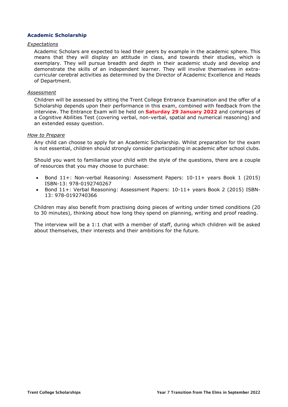## **Academic Scholarship**

#### *Expectations*

Academic Scholars are expected to lead their peers by example in the academic sphere. This means that they will display an attitude in class, and towards their studies, which is exemplary. They will pursue breadth and depth in their academic study and develop and demonstrate the skills of an independent learner. They will involve themselves in extracurricular cerebral activities as determined by the Director of Academic Excellence and Heads of Department.

#### *Assessment*

Children will be assessed by sitting the Trent College Entrance Examination and the offer of a Scholarship depends upon their performance in this exam, combined with feedback from the interview. The Entrance Exam will be held on **Saturday 29 January 2022** and comprises of a Cognitive Abilities Test (covering verbal, non-verbal, spatial and numerical reasoning) and an extended essay question.

#### *How to Prepare*

Any child can choose to apply for an Academic Scholarship. Whilst preparation for the exam is not essential, children should strongly consider participating in academic after school clubs.

Should you want to familiarise your child with the style of the questions, there are a couple of resources that you may choose to purchase:

- Bond 11+: Non-verbal Reasoning: Assessment Papers: 10-11+ years Book 1 (2015) ISBN-13: 978-0192740267
- Bond 11+: Verbal Reasoning: Assessment Papers: 10-11+ years Book 2 (2015) ISBN-13: 978-0192740366

Children may also benefit from practising doing pieces of writing under timed conditions (20 to 30 minutes), thinking about how long they spend on planning, writing and proof reading.

The interview will be a 1:1 chat with a member of staff, during which children will be asked about themselves, their interests and their ambitions for the future.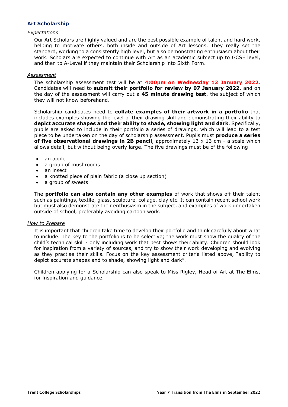## **Art Scholarship**

### *Expectations*

Our Art Scholars are highly valued and are the best possible example of talent and hard work, helping to motivate others, both inside and outside of Art lessons. They really set the standard, working to a consistently high level, but also demonstrating enthusiasm about their work. Scholars are expected to continue with Art as an academic subject up to GCSE level, and then to A-Level if they maintain their Scholarship into Sixth Form.

#### *Assessment*

The scholarship assessment test will be at **4:00pm on Wednesday 12 January 2022**. Candidates will need to **submit their portfolio for review by 07 January 2022**, and on the day of the assessment will carry out a **45 minute drawing test**, the subject of which they will not know beforehand.

Scholarship candidates need to **collate examples of their artwork in a portfolio** that includes examples showing the level of their drawing skill and demonstrating their ability to **depict accurate shapes and their ability to shade, showing light and dark**. Specifically, pupils are asked to include in their portfolio a series of drawings, which will lead to a test piece to be undertaken on the day of scholarship assessment. Pupils must **produce a series of five observational drawings in 2B pencil**, approximately 13 x 13 cm - a scale which allows detail, but without being overly large. The five drawings must be of the following:

- an apple
- a group of mushrooms
- an insect
- a knotted piece of plain fabric (a close up section)
- a group of sweets.

The **portfolio can also contain any other examples** of work that shows off their talent such as paintings, textile, glass, sculpture, collage, clay etc. It can contain recent school work but must also demonstrate their enthusiasm in the subject, and examples of work undertaken outside of school, preferably avoiding cartoon work.

#### *How to Prepare*

It is important that children take time to develop their portfolio and think carefully about what to include. The key to the portfolio is to be selective; the work must show the quality of the child's technical skill - only including work that best shows their ability. Children should look for inspiration from a variety of sources, and try to show their work developing and evolving as they practise their skills. Focus on the key assessment criteria listed above, "ability to depict accurate shapes and to shade, showing light and dark".

Children applying for a Scholarship can also speak to Miss Rigley, Head of Art at The Elms, for inspiration and guidance.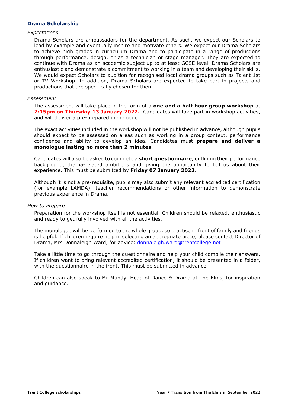## **Drama Scholarship**

#### *Expectations*

Drama Scholars are ambassadors for the department. As such, we expect our Scholars to lead by example and eventually inspire and motivate others. We expect our Drama Scholars to achieve high grades in curriculum Drama and to participate in a range of productions through performance, design, or as a technician or stage manager. They are expected to continue with Drama as an academic subject up to at least GCSE level. Drama Scholars are enthusiastic and demonstrate a commitment to working in a team and developing their skills. We would expect Scholars to audition for recognised local drama groups such as Talent 1st or TV Workshop. In addition, Drama Scholars are expected to take part in projects and productions that are specifically chosen for them.

#### *Assessment*

The assessment will take place in the form of a **one and a half hour group workshop** at **2:15pm on Thursday 13 January 2022.** Candidates will take part in workshop activities, and will deliver a pre-prepared monologue.

The exact activities included in the workshop will not be published in advance, although pupils should expect to be assessed on areas such as working in a group context, performance confidence and ability to develop an idea. Candidates must **prepare and deliver a monologue lasting no more than 2 minutes**.

Candidates will also be asked to complete a **short questionnaire**, outlining their performance background, drama-related ambitions and giving the opportunity to tell us about their experience. This must be submitted by **Friday 07 January 2022**.

Although it is not a pre-requisite, pupils may also submit any relevant accredited certification (for example LAMDA), teacher recommendations or other information to demonstrate previous experience in Drama.

#### *How to Prepare*

Preparation for the workshop itself is not essential. Children should be relaxed, enthusiastic and ready to get fully involved with all the activities.

The monologue will be performed to the whole group, so practise in front of family and friends is helpful. If children require help in selecting an appropriate piece, please contact Director of Drama, Mrs Donnaleigh Ward, for advice: [donnaleigh.ward@trentcollege.net](mailto:donnaleigh.ward@trentcollege.net)

Take a little time to go through the questionnaire and help your child compile their answers. If children want to bring relevant accredited certification, it should be presented in a folder, with the questionnaire in the front. This must be submitted in advance.

Children can also speak to Mr Mundy, Head of Dance & Drama at The Elms, for inspiration and guidance.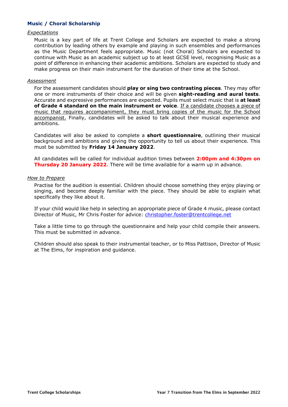## **Music / Choral Scholarship**

#### *Expectations*

Music is a key part of life at Trent College and Scholars are expected to make a strong contribution by leading others by example and playing in such ensembles and performances as the Music Department feels appropriate. Music (not Choral) Scholars are expected to continue with Music as an academic subject up to at least GCSE level, recognising Music as a point of difference in enhancing their academic ambitions. Scholars are expected to study and make progress on their main instrument for the duration of their time at the School.

#### *Assessment*

For the assessment candidates should **play or sing two contrasting pieces**. They may offer one or more instruments of their choice and will be given **sight-reading and aural tests**. Accurate and expressive performances are expected. Pupils must select music that is **at least of Grade 4 standard on the main instrument or voice**. If a candidate chooses a piece of music that requires accompaniment, they must bring copies of the music for the School accompanist. Finally, candidates will be asked to talk about their musical experience and ambitions.

Candidates will also be asked to complete a **short questionnaire**, outlining their musical background and ambitions and giving the opportunity to tell us about their experience. This must be submitted by **Friday 14 January 2022**.

All candidates will be called for individual audition times between **2:00pm and 4:30pm on Thursday 20 January 2022**. There will be time available for a warm up in advance.

## *How to Prepare*

Practise for the audition is essential. Children should choose something they enjoy playing or singing, and become deeply familiar with the piece. They should be able to explain what specifically they like about it.

If your child would like help in selecting an appropriate piece of Grade 4 music, please contact Director of Music, Mr Chris Foster for advice: [christopher.foster@trentcollege.net](mailto:christopher.foster@trentcollege.net)

Take a little time to go through the questionnaire and help your child compile their answers. This must be submitted in advance.

Children should also speak to their instrumental teacher, or to Miss Pattison, Director of Music at The Elms, for inspiration and guidance.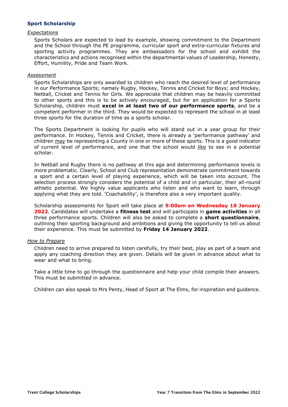## **Sport Scholarship**

#### *Expectations*

Sports Scholars are expected to lead by example, showing commitment to the Department and the School through the PE programme, curricular sport and extra-curricular fixtures and sporting activity programmes. They are ambassadors for the school and exhibit the characteristics and actions recognised within the departmental values of Leadership, Honesty, Effort, Humility, Pride and Team Work.

#### *Assessment*

Sports Scholarships are only awarded to children who reach the desired level of performance in our Performance Sports; namely Rugby, Hockey, Tennis and Cricket for Boys; and Hockey, Netball, Cricket and Tennis for Girls. We appreciate that children may be heavily committed to other sports and this is to be actively encouraged, but for an application for a Sports Scholarship, children must **excel in at least two of our performance sports**, and be a competent performer in the third. They would be expected to represent the school in at least three sports for the duration of time as a sports scholar.

The Sports Department is looking for pupils who will stand out in a year group for their performance. In Hockey, Tennis and Cricket, there is already a 'performance pathway' and children *may* be representing a County in one or more of these sports. This is a good indicator of current level of performance, and one that the school would *like* to see in a potential scholar.

In Netball and Rugby there is no pathway at this age and determining performance levels is more problematic. Clearly, School and Club representation demonstrate commitment towards a sport and a certain level of playing experience, which will be taken into account. The selection process strongly considers the potential of a child and in particular, their all-round athletic potential. We highly value applicants who listen and who want to learn, through applying what they are told. 'Coachability', is therefore also a very important quality.

Scholarship assessments for Sport will take place at **9:00am on Wednesday 19 January 2022**. Candidates will undertake a **fitness test** and will participate in **game activities** in all three performance sports. Children will also be asked to complete a **short questionnaire**, outlining their sporting background and ambitions and giving the opportunity to tell us about their experience. This must be submitted by **Friday 14 January 2022**.

## *How to Prepare*

Children need to arrive prepared to listen carefully, try their best, play as part of a team and apply any coaching direction they are given. Details will be given in advance about what to wear and what to bring.

Take a little time to go through the questionnaire and help your child compile their answers. This must be submitted in advance.

Children can also speak to Mrs Penty, Head of Sport at The Elms, for inspiration and guidance.